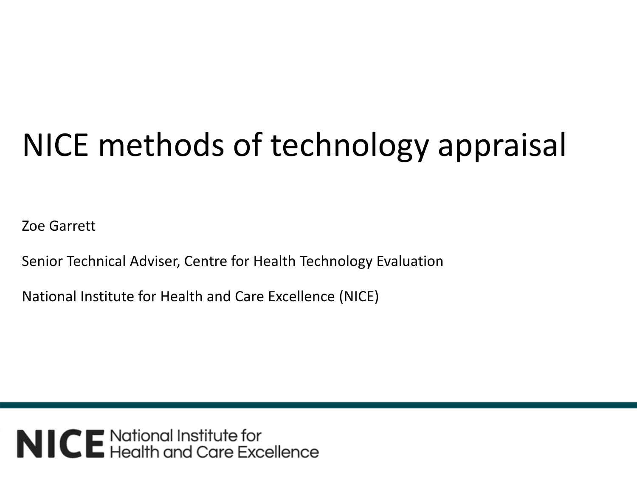# NICE methods of technology appraisal

Zoe Garrett

Senior Technical Adviser, Centre for Health Technology Evaluation

National Institute for Health and Care Excellence (NICE)

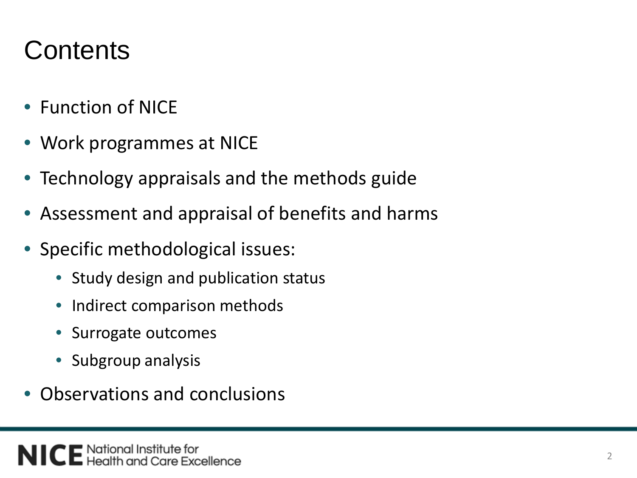## **Contents**

- Function of NICF
- Work programmes at NICE
- Technology appraisals and the methods guide
- Assessment and appraisal of benefits and harms
- Specific methodological issues:
	- Study design and publication status
	- Indirect comparison methods
	- Surrogate outcomes
	- Subgroup analysis
- Observations and conclusions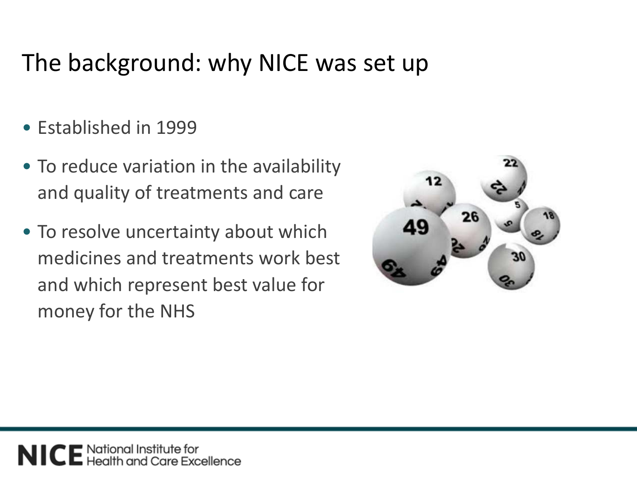#### The background: why NICE was set up

- Established in 1999
- To reduce variation in the availability and quality of treatments and care
- To resolve uncertainty about which medicines and treatments work best and which represent best value for money for the NHS

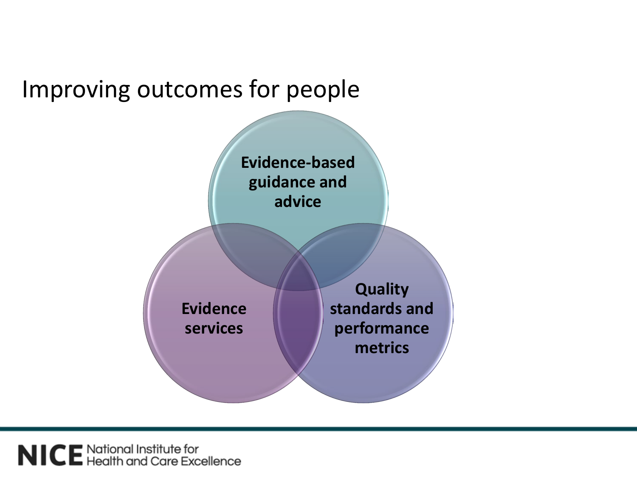#### Improving outcomes for people



NICE National Institute for<br>NICE Health and Care Excellence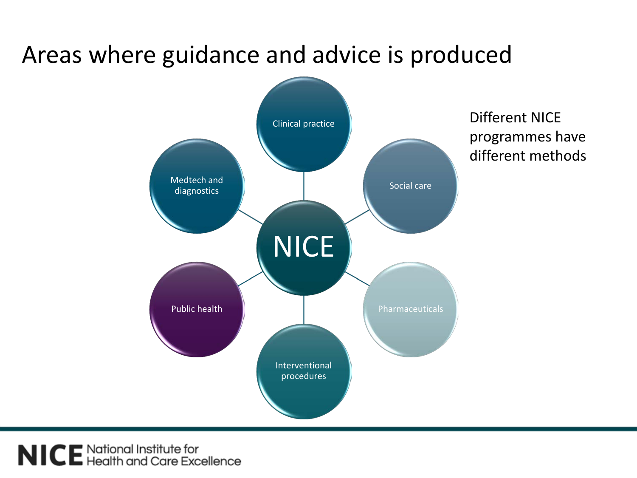#### Areas where guidance and advice is produced



NICE National Institute for<br>NICE Health and Care Excellence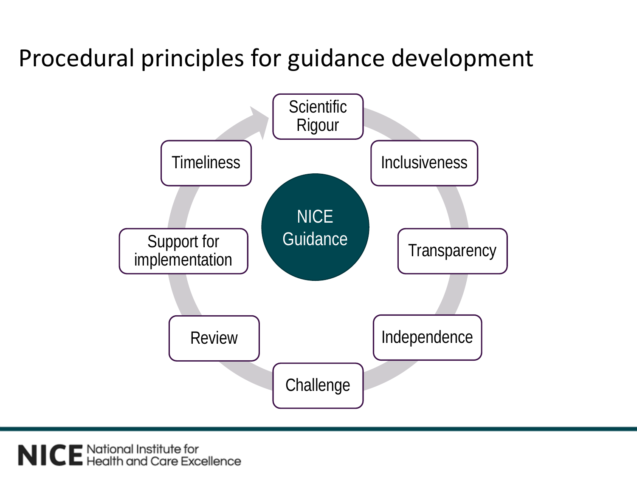#### Procedural principles for guidance development



NICE National Institute for<br>NICE Health and Care Excellence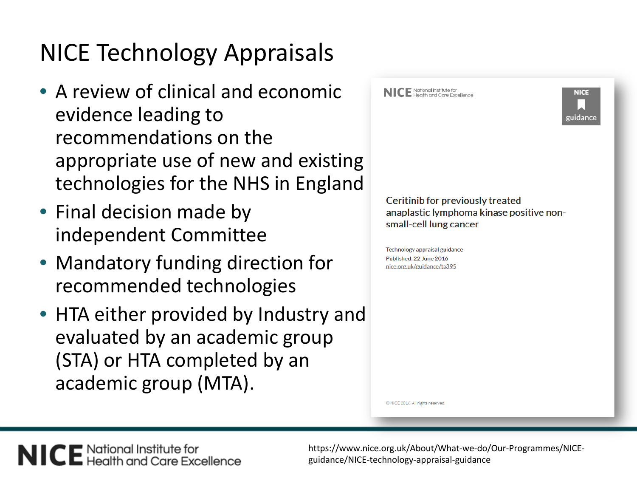#### NICE Technology Appraisals

- A review of clinical and economic evidence leading to recommendations on the appropriate use of new and existing technologies for the NHS in England
- Final decision made by independent Committee
- Mandatory funding direction for recommended technologies
- HTA either provided by Industry and evaluated by an academic group (STA) or HTA completed by an academic group (MTA).

**NICE** National Institute for<br>**NICE** Health and Care Excellence



Ceritinib for previously treated anaplastic lymphoma kinase positive nonsmall-cell lung cancer

Technology appraisal guidance Published: 22 June 2016 nice.org.uk/guidance/ta395

C NICE 2016. All rights reserved

NICE National Institute for<br>NICE Health and Care Excellence

https://www.nice.org.uk/About/What-we-do/Our-Programmes/NICEguidance/NICE-technology-appraisal-guidance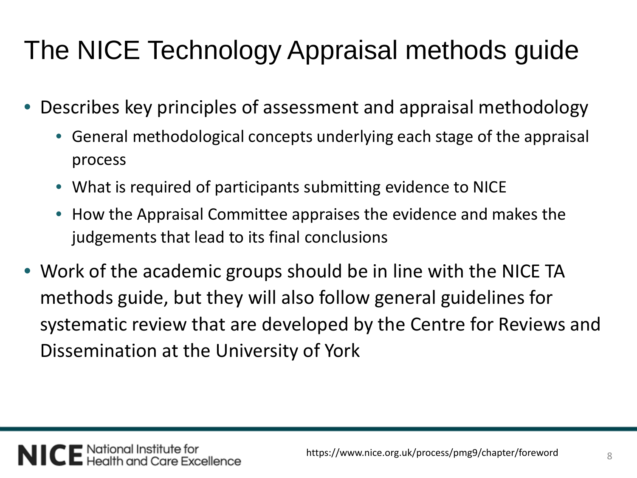# The NICE Technology Appraisal methods guide

- Describes key principles of assessment and appraisal methodology
	- General methodological concepts underlying each stage of the appraisal process
	- What is required of participants submitting evidence to NICE
	- How the Appraisal Committee appraises the evidence and makes the judgements that lead to its final conclusions
- Work of the academic groups should be in line with the NICE TA methods guide, but they will also follow general guidelines for systematic review that are developed by the Centre for Reviews and Dissemination at the University of York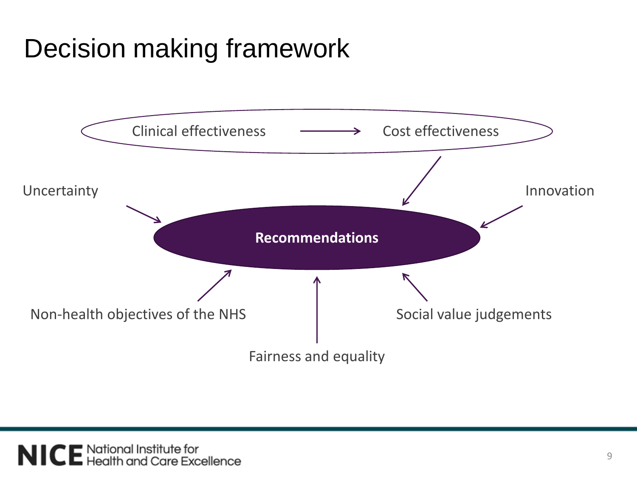## Decision making framework

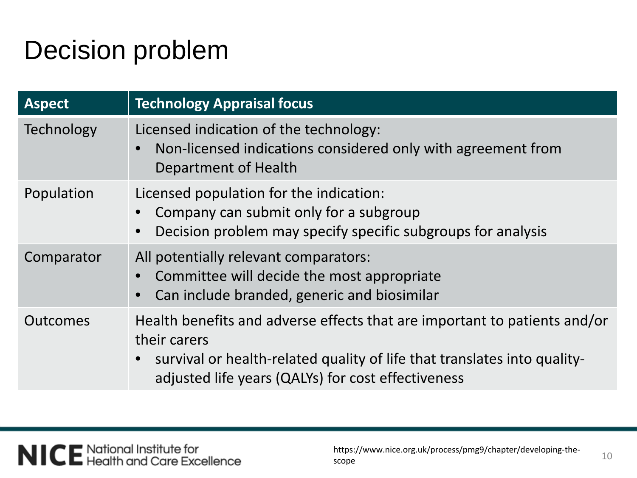## Decision problem

| <b>Aspect</b>     | <b>Technology Appraisal focus</b>                                                                                                                                                                                           |
|-------------------|-----------------------------------------------------------------------------------------------------------------------------------------------------------------------------------------------------------------------------|
| <b>Technology</b> | Licensed indication of the technology:<br>Non-licensed indications considered only with agreement from<br>Department of Health                                                                                              |
| Population        | Licensed population for the indication:<br>Company can submit only for a subgroup<br>Decision problem may specify specific subgroups for analysis                                                                           |
| Comparator        | All potentially relevant comparators:<br>Committee will decide the most appropriate<br>Can include branded, generic and biosimilar                                                                                          |
| <b>Outcomes</b>   | Health benefits and adverse effects that are important to patients and/or<br>their carers<br>survival or health-related quality of life that translates into quality-<br>adjusted life years (QALYs) for cost effectiveness |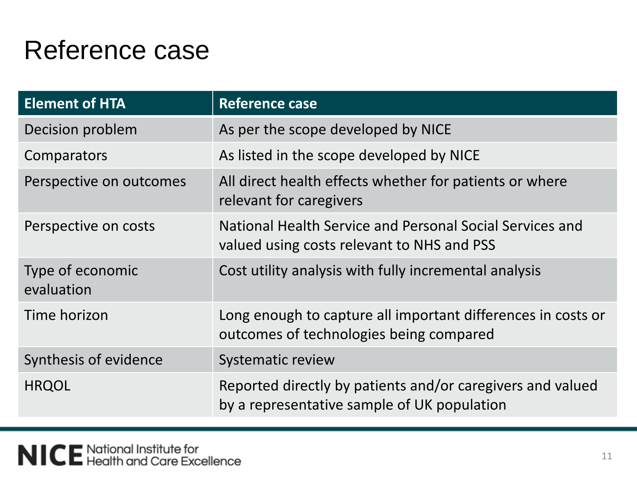#### Reference case

| <b>Element of HTA</b>          | <b>Reference case</b>                                                                                     |
|--------------------------------|-----------------------------------------------------------------------------------------------------------|
| Decision problem               | As per the scope developed by NICE                                                                        |
| Comparators                    | As listed in the scope developed by NICE                                                                  |
| Perspective on outcomes        | All direct health effects whether for patients or where<br>relevant for caregivers                        |
| Perspective on costs           | National Health Service and Personal Social Services and<br>valued using costs relevant to NHS and PSS    |
| Type of economic<br>evaluation | Cost utility analysis with fully incremental analysis                                                     |
| Time horizon                   | Long enough to capture all important differences in costs or<br>outcomes of technologies being compared   |
| Synthesis of evidence          | <b>Systematic review</b>                                                                                  |
| <b>HRQOL</b>                   | Reported directly by patients and/or caregivers and valued<br>by a representative sample of UK population |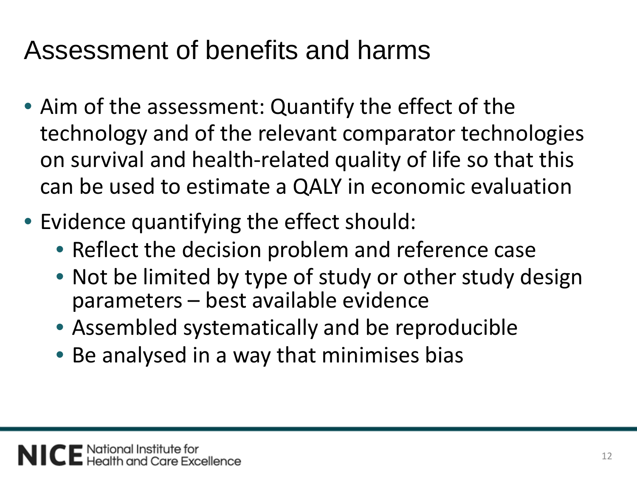## Assessment of benefits and harms

- Aim of the assessment: Quantify the effect of the technology and of the relevant comparator technologies on survival and health-related quality of life so that this can be used to estimate a QALY in economic evaluation
- Evidence quantifying the effect should:
	- Reflect the decision problem and reference case
	- Not be limited by type of study or other study design parameters – best available evidence
	- Assembled systematically and be reproducible
	- Be analysed in a way that minimises bias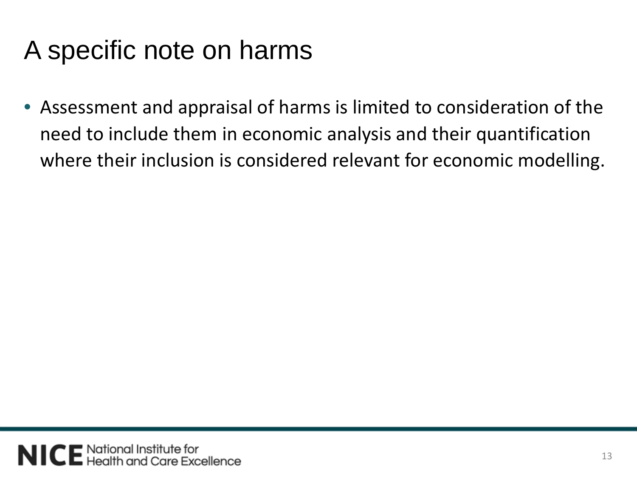# A specific note on harms

• Assessment and appraisal of harms is limited to consideration of the need to include them in economic analysis and their quantification where their inclusion is considered relevant for economic modelling.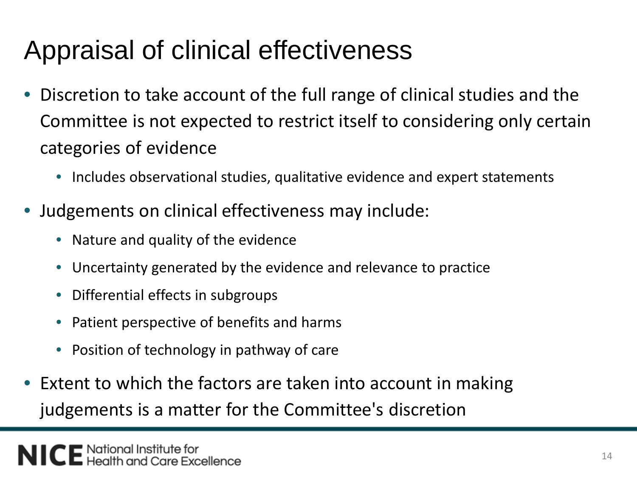## Appraisal of clinical effectiveness

- Discretion to take account of the full range of clinical studies and the Committee is not expected to restrict itself to considering only certain categories of evidence
	- Includes observational studies, qualitative evidence and expert statements
- Judgements on clinical effectiveness may include:
	- Nature and quality of the evidence
	- Uncertainty generated by the evidence and relevance to practice
	- Differential effects in subgroups
	- Patient perspective of benefits and harms
	- Position of technology in pathway of care
- Extent to which the factors are taken into account in making judgements is a matter for the Committee's discretion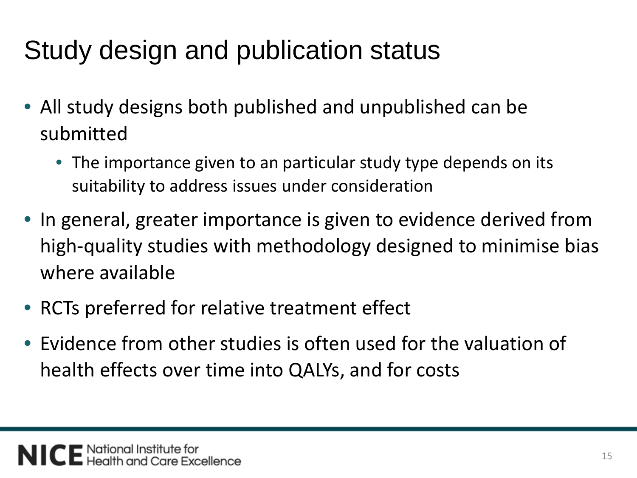# Study design and publication status

- All study designs both published and unpublished can be submitted
	- The importance given to an particular study type depends on its suitability to address issues under consideration
- In general, greater importance is given to evidence derived from high-quality studies with methodology designed to minimise bias where available
- RCTs preferred for relative treatment effect
- Evidence from other studies is often used for the valuation of health effects over time into QALYs, and for costs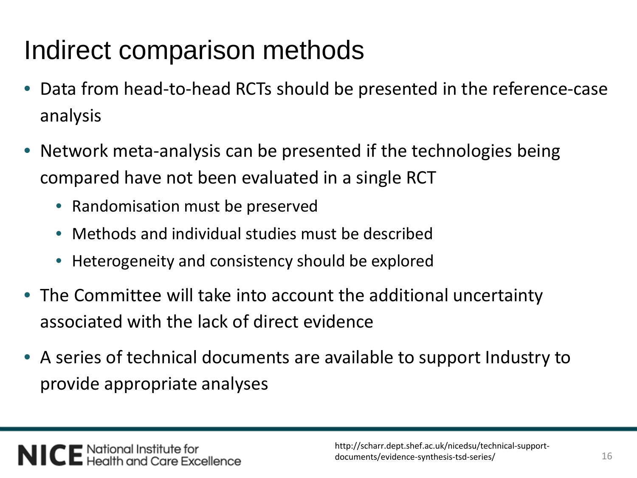## Indirect comparison methods

- Data from head-to-head RCTs should be presented in the reference-case analysis
- Network meta-analysis can be presented if the technologies being compared have not been evaluated in a single RCT
	- Randomisation must be preserved
	- Methods and individual studies must be described
	- Heterogeneity and consistency should be explored
- The Committee will take into account the additional uncertainty associated with the lack of direct evidence
- A series of technical documents are available to support Industry to provide appropriate analyses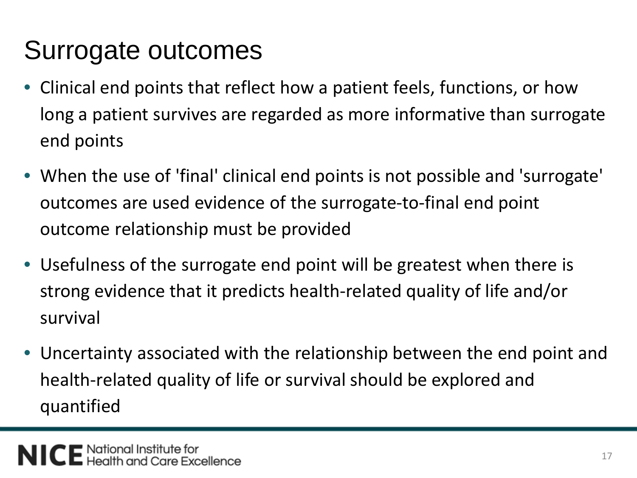# Surrogate outcomes

- Clinical end points that reflect how a patient feels, functions, or how long a patient survives are regarded as more informative than surrogate end points
- When the use of 'final' clinical end points is not possible and 'surrogate' outcomes are used evidence of the surrogate-to-final end point outcome relationship must be provided
- Usefulness of the surrogate end point will be greatest when there is strong evidence that it predicts health-related quality of life and/or survival
- Uncertainty associated with the relationship between the end point and health-related quality of life or survival should be explored and quantified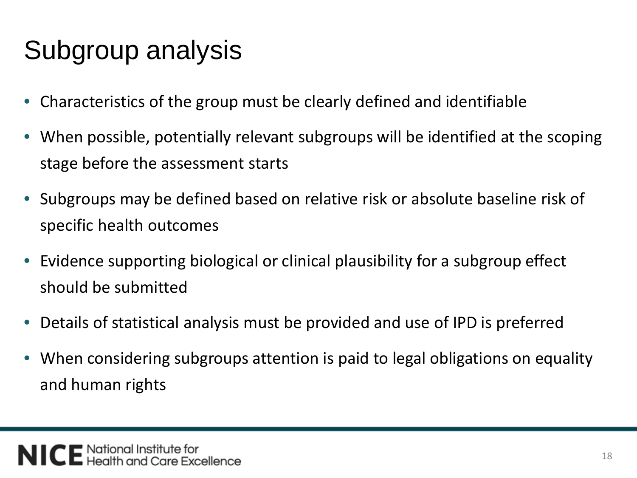# Subgroup analysis

- Characteristics of the group must be clearly defined and identifiable
- When possible, potentially relevant subgroups will be identified at the scoping stage before the assessment starts
- Subgroups may be defined based on relative risk or absolute baseline risk of specific health outcomes
- Evidence supporting biological or clinical plausibility for a subgroup effect should be submitted
- Details of statistical analysis must be provided and use of IPD is preferred
- When considering subgroups attention is paid to legal obligations on equality and human rights